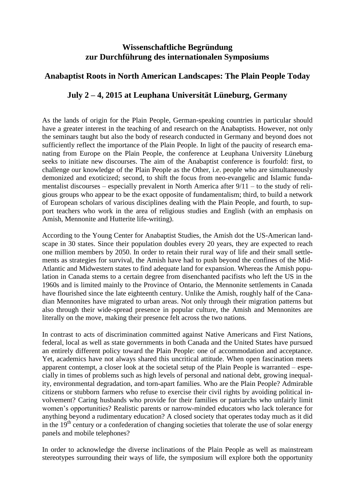## **Wissenschaftliche Begründung zur Durchführung des internationalen Symposiums**

## **Anabaptist Roots in North American Landscapes: The Plain People Today**

## **July 2 – 4, 2015 at Leuphana Universität Lüneburg, Germany**

As the lands of origin for the Plain People, German-speaking countries in particular should have a greater interest in the teaching of and research on the Anabaptists. However, not only the seminars taught but also the body of research conducted in Germany and beyond does not sufficiently reflect the importance of the Plain People. In light of the paucity of research emanating from Europe on the Plain People, the conference at Leuphana University Lüneburg seeks to initiate new discourses. The aim of the Anabaptist conference is fourfold: first, to challenge our knowledge of the Plain People as the Other, i.e. people who are simultaneously demonized and exoticized; second, to shift the focus from neo-evangelic and Islamic fundamentalist discourses – especially prevalent in North America after  $9/11$  – to the study of religious groups who appear to be the exact opposite of fundamentalism; third, to build a network of European scholars of various disciplines dealing with the Plain People, and fourth, to support teachers who work in the area of religious studies and English (with an emphasis on Amish, Mennonite and Hutterite life-writing).

According to the Young Center for Anabaptist Studies, the Amish dot the US-American landscape in 30 states. Since their population doubles every 20 years, they are expected to reach one million members by 2050. In order to retain their rural way of life and their small settlements as strategies for survival, the Amish have had to push beyond the confines of the Mid-Atlantic and Midwestern states to find adequate land for expansion. Whereas the Amish population in Canada stems to a certain degree from disenchanted pacifists who left the US in the 1960s and is limited mainly to the Province of Ontario, the Mennonite settlements in Canada have flourished since the late eighteenth century. Unlike the Amish, roughly half of the Canadian Mennonites have migrated to urban areas. Not only through their migration patterns but also through their wide-spread presence in popular culture, the Amish and Mennonites are literally on the move, making their presence felt across the two nations.

In contrast to acts of discrimination committed against Native Americans and First Nations, federal, local as well as state governments in both Canada and the United States have pursued an entirely different policy toward the Plain People: one of accommodation and acceptance. Yet, academics have not always shared this uncritical attitude. When open fascination meets apparent contempt, a closer look at the societal setup of the Plain People is warranted – especially in times of problems such as high levels of personal and national debt, growing inequality, environmental degradation, and torn-apart families. Who are the Plain People? Admirable citizens or stubborn farmers who refuse to exercise their civil rights by avoiding political involvement? Caring husbands who provide for their families or patriarchs who unfairly limit women's opportunities? Realistic parents or narrow-minded educators who lack tolerance for anything beyond a rudimentary education? A closed society that operates today much as it did in the  $19<sup>th</sup>$  century or a confederation of changing societies that tolerate the use of solar energy panels and mobile telephones?

In order to acknowledge the diverse inclinations of the Plain People as well as mainstream stereotypes surrounding their ways of life, the symposium will explore both the opportunity